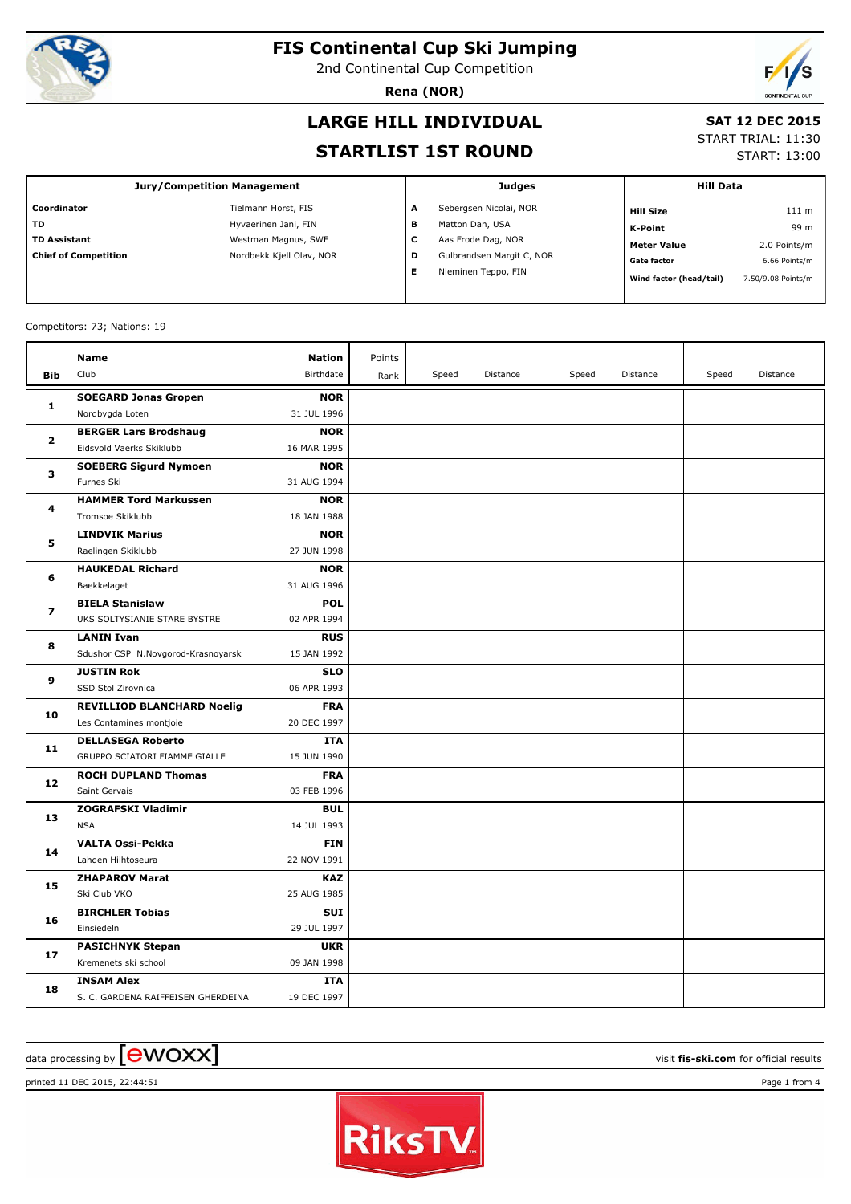

2nd Continental Cup Competition

**Rena (NOR)**



## **LARGE HILL INDIVIDUAL**

#### **SAT 12 DEC 2015**

### **STARTLIST 1ST ROUND**

START TRIAL: 11:30

START: 13:00

| <b>Jury/Competition Management</b> |                          |   | <b>Judges</b>             | <b>Hill Data</b>        |                    |
|------------------------------------|--------------------------|---|---------------------------|-------------------------|--------------------|
| Coordinator                        | Tielmann Horst, FIS      | A | Sebergsen Nicolai, NOR    | <b>Hill Size</b>        | 111 m              |
| <b>TD</b>                          | Hyvaerinen Jani, FIN     | в | Matton Dan, USA           | K-Point                 | 99 m               |
| <b>TD Assistant</b>                | Westman Magnus, SWE      | c | Aas Frode Dag, NOR        | <b>Meter Value</b>      | 2.0 Points/m       |
| <b>Chief of Competition</b>        | Nordbekk Kjell Olav, NOR | D | Gulbrandsen Margit C, NOR | <b>Gate factor</b>      | 6.66 Points/m      |
|                                    |                          | Е | Nieminen Teppo, FIN       | Wind factor (head/tail) | 7.50/9.08 Points/m |
|                                    |                          |   |                           |                         |                    |

#### Competitors: 73; Nations: 19

| <b>Bib</b>   | <b>Name</b><br>Club                                      | <b>Nation</b><br>Birthdate | Points<br>Rank | Speed | Distance | Speed | Distance | Speed | Distance |
|--------------|----------------------------------------------------------|----------------------------|----------------|-------|----------|-------|----------|-------|----------|
|              |                                                          |                            |                |       |          |       |          |       |          |
| 1            | <b>SOEGARD Jonas Gropen</b>                              | <b>NOR</b><br>31 JUL 1996  |                |       |          |       |          |       |          |
|              | Nordbygda Loten                                          | <b>NOR</b>                 |                |       |          |       |          |       |          |
| $\mathbf{z}$ | <b>BERGER Lars Brodshaug</b><br>Eidsvold Vaerks Skiklubb | 16 MAR 1995                |                |       |          |       |          |       |          |
|              |                                                          |                            |                |       |          |       |          |       |          |
| 3            | <b>SOEBERG Sigurd Nymoen</b><br>Furnes Ski               | <b>NOR</b><br>31 AUG 1994  |                |       |          |       |          |       |          |
|              | <b>HAMMER Tord Markussen</b>                             | <b>NOR</b>                 |                |       |          |       |          |       |          |
| 4            | Tromsoe Skiklubb                                         | 18 JAN 1988                |                |       |          |       |          |       |          |
|              | <b>LINDVIK Marius</b>                                    | <b>NOR</b>                 |                |       |          |       |          |       |          |
| 5            | Raelingen Skiklubb                                       | 27 JUN 1998                |                |       |          |       |          |       |          |
|              |                                                          |                            |                |       |          |       |          |       |          |
| 6            | <b>HAUKEDAL Richard</b>                                  | <b>NOR</b><br>31 AUG 1996  |                |       |          |       |          |       |          |
|              | Baekkelaget                                              |                            |                |       |          |       |          |       |          |
| 7            | <b>BIELA Stanislaw</b><br>UKS SOLTYSIANIE STARE BYSTRE   | <b>POL</b>                 |                |       |          |       |          |       |          |
|              |                                                          | 02 APR 1994                |                |       |          |       |          |       |          |
| 8            | <b>LANIN Ivan</b>                                        | <b>RUS</b>                 |                |       |          |       |          |       |          |
|              | Sdushor CSP N.Novgorod-Krasnoyarsk                       | 15 JAN 1992                |                |       |          |       |          |       |          |
| 9            | <b>JUSTIN Rok</b>                                        | <b>SLO</b>                 |                |       |          |       |          |       |          |
|              | SSD Stol Zirovnica                                       | 06 APR 1993                |                |       |          |       |          |       |          |
| 10           | <b>REVILLIOD BLANCHARD Noelig</b>                        | <b>FRA</b>                 |                |       |          |       |          |       |          |
|              | Les Contamines montjoie                                  | 20 DEC 1997                |                |       |          |       |          |       |          |
| 11           | <b>DELLASEGA Roberto</b>                                 | <b>ITA</b>                 |                |       |          |       |          |       |          |
|              | GRUPPO SCIATORI FIAMME GIALLE                            | 15 JUN 1990                |                |       |          |       |          |       |          |
| 12           | <b>ROCH DUPLAND Thomas</b>                               | <b>FRA</b>                 |                |       |          |       |          |       |          |
|              | Saint Gervais                                            | 03 FEB 1996                |                |       |          |       |          |       |          |
| 13           | <b>ZOGRAFSKI Vladimir</b>                                | <b>BUL</b>                 |                |       |          |       |          |       |          |
|              | <b>NSA</b>                                               | 14 JUL 1993                |                |       |          |       |          |       |          |
| 14           | <b>VALTA Ossi-Pekka</b>                                  | <b>FIN</b>                 |                |       |          |       |          |       |          |
|              | Lahden Hiihtoseura                                       | 22 NOV 1991                |                |       |          |       |          |       |          |
| 15           | <b>ZHAPAROV Marat</b>                                    | <b>KAZ</b>                 |                |       |          |       |          |       |          |
|              | Ski Club VKO                                             | 25 AUG 1985                |                |       |          |       |          |       |          |
| 16           | <b>BIRCHLER Tobias</b>                                   | SUI                        |                |       |          |       |          |       |          |
|              | Einsiedeln                                               | 29 JUL 1997                |                |       |          |       |          |       |          |
| 17           | <b>PASICHNYK Stepan</b>                                  | <b>UKR</b>                 |                |       |          |       |          |       |          |
|              | Kremenets ski school                                     | 09 JAN 1998                |                |       |          |       |          |       |          |
| 18           | <b>INSAM Alex</b>                                        | ITA                        |                |       |          |       |          |       |          |
|              | S. C. GARDENA RAIFFEISEN GHERDEINA                       | 19 DEC 1997                |                |       |          |       |          |       |          |

## $\alpha$  data processing by  $\boxed{\text{ewOX}}$

printed 11 DEC 2015, 22:44:51 Page 1 from 4

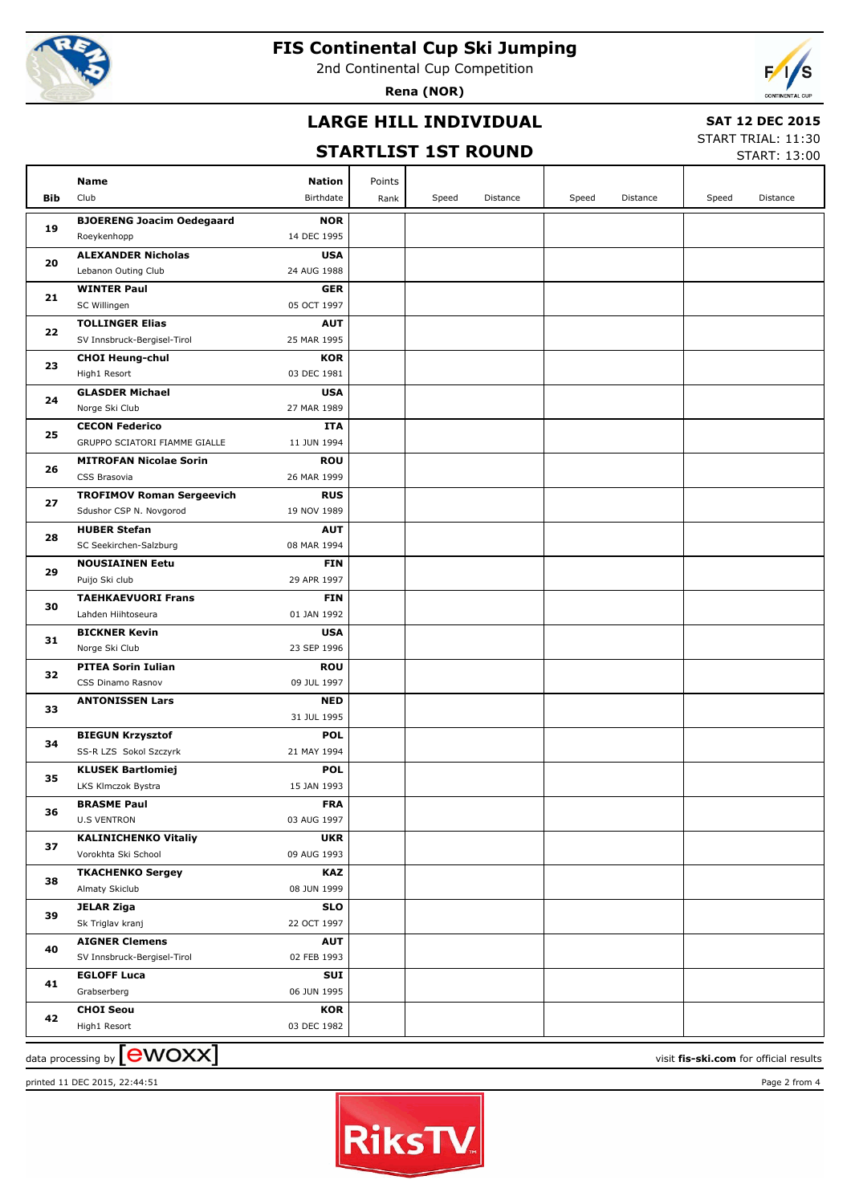

2nd Continental Cup Competition

**Rena (NOR)**



## **LARGE HILL INDIVIDUAL**

### **SAT 12 DEC 2015**

# **STARTLIST 1ST ROUND**

START TRIAL: 11:30

|     |                                          |                           |        |       | STARTLIST 1ST ROUND |       |          |       | <b>START: 13:00</b> |
|-----|------------------------------------------|---------------------------|--------|-------|---------------------|-------|----------|-------|---------------------|
|     | Name                                     | <b>Nation</b>             | Points |       |                     |       |          |       |                     |
| Bib | Club                                     | Birthdate                 | Rank   | Speed | Distance            | Speed | Distance | Speed | Distance            |
|     | <b>BJOERENG Joacim Oedegaard</b>         | <b>NOR</b>                |        |       |                     |       |          |       |                     |
| 19  | Roeykenhopp                              | 14 DEC 1995               |        |       |                     |       |          |       |                     |
| 20  | <b>ALEXANDER Nicholas</b>                | <b>USA</b>                |        |       |                     |       |          |       |                     |
|     | Lebanon Outing Club                      | 24 AUG 1988               |        |       |                     |       |          |       |                     |
|     | <b>WINTER Paul</b>                       | <b>GER</b>                |        |       |                     |       |          |       |                     |
| 21  | SC Willingen                             | 05 OCT 1997               |        |       |                     |       |          |       |                     |
|     | <b>TOLLINGER Elias</b>                   | <b>AUT</b>                |        |       |                     |       |          |       |                     |
| 22  | SV Innsbruck-Bergisel-Tirol              | 25 MAR 1995               |        |       |                     |       |          |       |                     |
|     | <b>CHOI Heung-chul</b>                   | <b>KOR</b>                |        |       |                     |       |          |       |                     |
| 23  | High1 Resort                             | 03 DEC 1981               |        |       |                     |       |          |       |                     |
|     | <b>GLASDER Michael</b>                   | <b>USA</b>                |        |       |                     |       |          |       |                     |
| 24  | Norge Ski Club                           | 27 MAR 1989               |        |       |                     |       |          |       |                     |
|     | <b>CECON Federico</b>                    | <b>ITA</b>                |        |       |                     |       |          |       |                     |
| 25  | GRUPPO SCIATORI FIAMME GIALLE            | 11 JUN 1994               |        |       |                     |       |          |       |                     |
|     | <b>MITROFAN Nicolae Sorin</b>            | <b>ROU</b>                |        |       |                     |       |          |       |                     |
| 26  | CSS Brasovia                             | 26 MAR 1999               |        |       |                     |       |          |       |                     |
|     | <b>TROFIMOV Roman Sergeevich</b>         | <b>RUS</b>                |        |       |                     |       |          |       |                     |
| 27  | Sdushor CSP N. Novgorod                  | 19 NOV 1989               |        |       |                     |       |          |       |                     |
|     | <b>HUBER Stefan</b>                      | <b>AUT</b>                |        |       |                     |       |          |       |                     |
| 28  | SC Seekirchen-Salzburg                   | 08 MAR 1994               |        |       |                     |       |          |       |                     |
| 29  | <b>NOUSIAINEN Eetu</b>                   | <b>FIN</b>                |        |       |                     |       |          |       |                     |
|     | Puijo Ski club                           | 29 APR 1997               |        |       |                     |       |          |       |                     |
| 30  | <b>TAEHKAEVUORI Frans</b>                | <b>FIN</b>                |        |       |                     |       |          |       |                     |
|     | Lahden Hiihtoseura                       | 01 JAN 1992               |        |       |                     |       |          |       |                     |
| 31  | <b>BICKNER Kevin</b>                     | <b>USA</b>                |        |       |                     |       |          |       |                     |
|     | Norge Ski Club                           | 23 SEP 1996               |        |       |                     |       |          |       |                     |
| 32  | <b>PITEA Sorin Iulian</b>                | <b>ROU</b>                |        |       |                     |       |          |       |                     |
|     | CSS Dinamo Rasnov                        | 09 JUL 1997               |        |       |                     |       |          |       |                     |
| 33  | <b>ANTONISSEN Lars</b>                   | <b>NED</b>                |        |       |                     |       |          |       |                     |
|     |                                          | 31 JUL 1995               |        |       |                     |       |          |       |                     |
| 34  | <b>BIEGUN Krzysztof</b>                  | <b>POL</b>                |        |       |                     |       |          |       |                     |
|     | SS-R LZS Sokol Szczyrk                   | 21 MAY 1994               |        |       |                     |       |          |       |                     |
| 35  | <b>KLUSEK Bartlomiej</b>                 | <b>POL</b>                |        |       |                     |       |          |       |                     |
|     | LKS Klmczok Bystra                       | 15 JAN 1993               |        |       |                     |       |          |       |                     |
| 36  | <b>BRASME Paul</b><br><b>U.S VENTRON</b> | <b>FRA</b><br>03 AUG 1997 |        |       |                     |       |          |       |                     |
|     | <b>KALINICHENKO Vitaliy</b>              | <b>UKR</b>                |        |       |                     |       |          |       |                     |
| 37  | Vorokhta Ski School                      | 09 AUG 1993               |        |       |                     |       |          |       |                     |
|     | <b>TKACHENKO Sergey</b>                  | KAZ                       |        |       |                     |       |          |       |                     |
| 38  | Almaty Skiclub                           | 08 JUN 1999               |        |       |                     |       |          |       |                     |
|     | <b>JELAR Ziga</b>                        | <b>SLO</b>                |        |       |                     |       |          |       |                     |
| 39  | Sk Triglav kranj                         | 22 OCT 1997               |        |       |                     |       |          |       |                     |
|     | <b>AIGNER Clemens</b>                    | <b>AUT</b>                |        |       |                     |       |          |       |                     |
| 40  | SV Innsbruck-Bergisel-Tirol              | 02 FEB 1993               |        |       |                     |       |          |       |                     |
|     | <b>EGLOFF Luca</b>                       | <b>SUI</b>                |        |       |                     |       |          |       |                     |
| 41  | Grabserberg                              | 06 JUN 1995               |        |       |                     |       |          |       |                     |
|     | <b>CHOI Seou</b>                         | <b>KOR</b>                |        |       |                     |       |          |       |                     |
| 42  | High1 Resort                             | 03 DEC 1982               |        |       |                     |       |          |       |                     |
|     |                                          |                           |        |       |                     |       |          |       |                     |

 $\frac{1}{2}$  data processing by  $\boxed{\text{ewOX}}$ 



printed 11 DEC 2015, 22:44:51 Page 2 from 4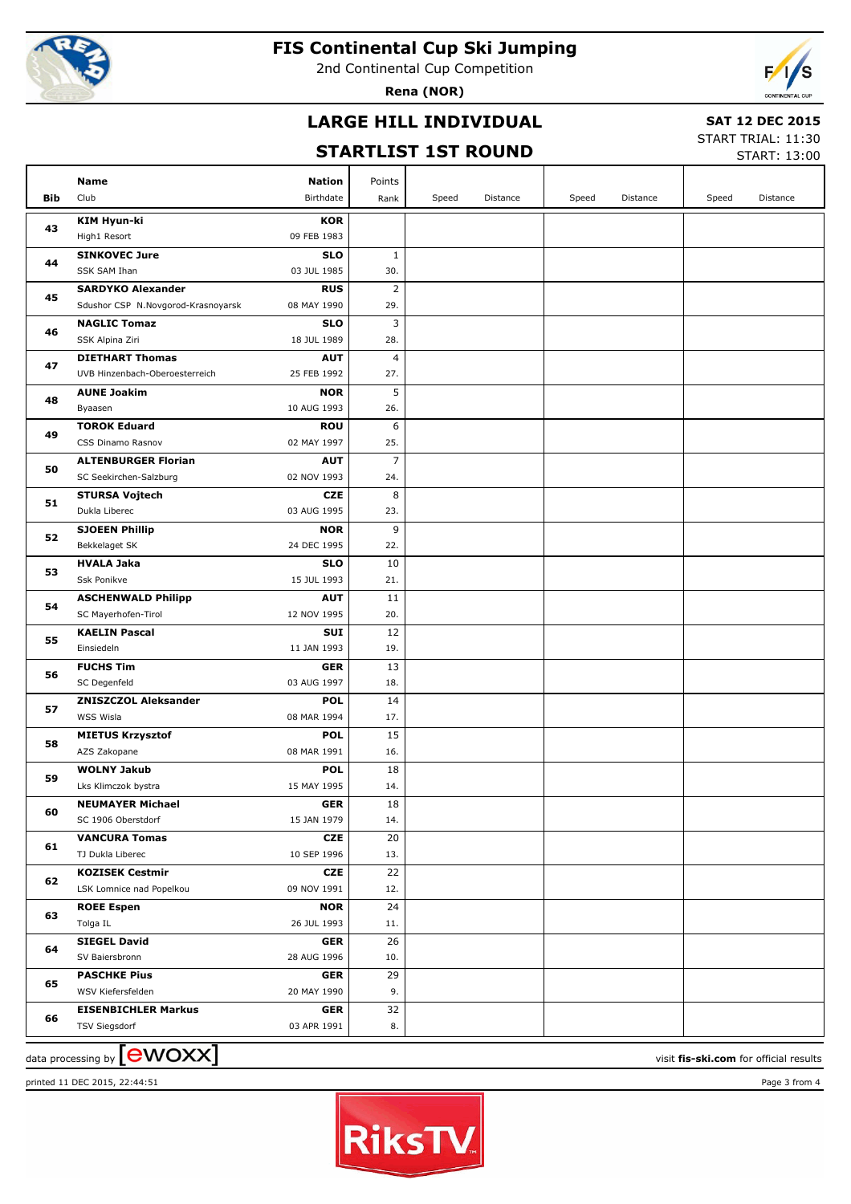

2nd Continental Cup Competition

**Rena (NOR)**



## **LARGE HILL INDIVIDUAL**

### **SAT 12 DEC 2015**

## **STARTLIST 1ST ROUND**

START TRIAL: 11:30

|     |                                    |                           |                |       | SIARILISI ISI KUUND |       |          |       | START: 13:00    |
|-----|------------------------------------|---------------------------|----------------|-------|---------------------|-------|----------|-------|-----------------|
|     | Name                               | <b>Nation</b>             | Points         |       |                     |       |          |       |                 |
| Bib | Club                               | Birthdate                 | Rank           | Speed | Distance            | Speed | Distance | Speed | <b>Distance</b> |
|     | <b>KIM Hyun-ki</b>                 | <b>KOR</b>                |                |       |                     |       |          |       |                 |
| 43  | High1 Resort                       | 09 FEB 1983               |                |       |                     |       |          |       |                 |
|     | <b>SINKOVEC Jure</b>               | <b>SLO</b>                | 1              |       |                     |       |          |       |                 |
| 44  | SSK SAM Ihan                       | 03 JUL 1985               | 30.            |       |                     |       |          |       |                 |
|     | <b>SARDYKO Alexander</b>           | <b>RUS</b>                | $\overline{2}$ |       |                     |       |          |       |                 |
| 45  | Sdushor CSP N.Novgorod-Krasnoyarsk | 08 MAY 1990               | 29.            |       |                     |       |          |       |                 |
|     | <b>NAGLIC Tomaz</b>                | <b>SLO</b>                | 3              |       |                     |       |          |       |                 |
| 46  | SSK Alpina Ziri                    | 18 JUL 1989               | 28.            |       |                     |       |          |       |                 |
|     | <b>DIETHART Thomas</b>             | <b>AUT</b>                | 4              |       |                     |       |          |       |                 |
| 47  | UVB Hinzenbach-Oberoesterreich     | 25 FEB 1992               | 27.            |       |                     |       |          |       |                 |
| 48  | <b>AUNE Joakim</b>                 | <b>NOR</b>                | 5              |       |                     |       |          |       |                 |
|     | Byaasen                            | 10 AUG 1993               | 26.            |       |                     |       |          |       |                 |
| 49  | <b>TOROK Eduard</b>                | <b>ROU</b>                | 6              |       |                     |       |          |       |                 |
|     | CSS Dinamo Rasnov                  | 02 MAY 1997               | 25.            |       |                     |       |          |       |                 |
| 50  | <b>ALTENBURGER Florian</b>         | <b>AUT</b>                | $\overline{7}$ |       |                     |       |          |       |                 |
|     | SC Seekirchen-Salzburg             | 02 NOV 1993               | 24.            |       |                     |       |          |       |                 |
| 51  | <b>STURSA Vojtech</b>              | <b>CZE</b>                | 8              |       |                     |       |          |       |                 |
|     | Dukla Liberec                      | 03 AUG 1995               | 23.            |       |                     |       |          |       |                 |
| 52  | <b>SJOEEN Phillip</b>              | <b>NOR</b>                | 9              |       |                     |       |          |       |                 |
|     | Bekkelaget SK                      | 24 DEC 1995               | 22.            |       |                     |       |          |       |                 |
| 53  | <b>HVALA Jaka</b>                  | <b>SLO</b>                | 10             |       |                     |       |          |       |                 |
|     | Ssk Ponikve                        | 15 JUL 1993               | 21.            |       |                     |       |          |       |                 |
| 54  | <b>ASCHENWALD Philipp</b>          | <b>AUT</b>                | 11             |       |                     |       |          |       |                 |
|     | SC Mayerhofen-Tirol                | 12 NOV 1995               | 20.            |       |                     |       |          |       |                 |
| 55  | <b>KAELIN Pascal</b><br>Einsiedeln | <b>SUI</b><br>11 JAN 1993 | 12<br>19.      |       |                     |       |          |       |                 |
|     | <b>FUCHS Tim</b>                   | <b>GER</b>                | 13             |       |                     |       |          |       |                 |
| 56  | SC Degenfeld                       | 03 AUG 1997               | 18.            |       |                     |       |          |       |                 |
|     | <b>ZNISZCZOL Aleksander</b>        | <b>POL</b>                | 14             |       |                     |       |          |       |                 |
| 57  | WSS Wisla                          | 08 MAR 1994               | 17.            |       |                     |       |          |       |                 |
|     | <b>MIETUS Krzysztof</b>            | <b>POL</b>                | 15             |       |                     |       |          |       |                 |
| 58  | AZS Zakopane                       | 08 MAR 1991               | 16.            |       |                     |       |          |       |                 |
|     | <b>WOLNY Jakub</b>                 | <b>POL</b>                | 18             |       |                     |       |          |       |                 |
| 59  | Lks Klimczok bystra                | 15 MAY 1995               | 14.            |       |                     |       |          |       |                 |
|     | <b>NEUMAYER Michael</b>            | <b>GER</b>                | 18             |       |                     |       |          |       |                 |
| 60  | SC 1906 Oberstdorf                 | 15 JAN 1979               | 14.            |       |                     |       |          |       |                 |
| 61  | <b>VANCURA Tomas</b>               | CZE                       | 20             |       |                     |       |          |       |                 |
|     | TJ Dukla Liberec                   | 10 SEP 1996               | 13.            |       |                     |       |          |       |                 |
| 62  | <b>KOZISEK Cestmir</b>             | CZE                       | 22             |       |                     |       |          |       |                 |
|     | LSK Lomnice nad Popelkou           | 09 NOV 1991               | 12.            |       |                     |       |          |       |                 |
| 63  | <b>ROEE Espen</b>                  | <b>NOR</b>                | 24             |       |                     |       |          |       |                 |
|     | Tolga IL                           | 26 JUL 1993               | 11.            |       |                     |       |          |       |                 |
| 64  | <b>SIEGEL David</b>                | <b>GER</b>                | 26             |       |                     |       |          |       |                 |
|     | SV Baiersbronn                     | 28 AUG 1996               | 10.            |       |                     |       |          |       |                 |
| 65  | <b>PASCHKE Pius</b>                | <b>GER</b>                | 29             |       |                     |       |          |       |                 |
|     | WSV Kiefersfelden                  | 20 MAY 1990               | 9.             |       |                     |       |          |       |                 |
| 66  | <b>EISENBICHLER Markus</b>         | <b>GER</b>                | 32             |       |                     |       |          |       |                 |
|     | <b>TSV Siegsdorf</b>               | 03 APR 1991               | 8.             |       |                     |       |          |       |                 |

 $\frac{1}{2}$  data processing by  $\boxed{\text{ewOX}}$ 

printed 11 DEC 2015, 22:44:51 Page 3 from 4